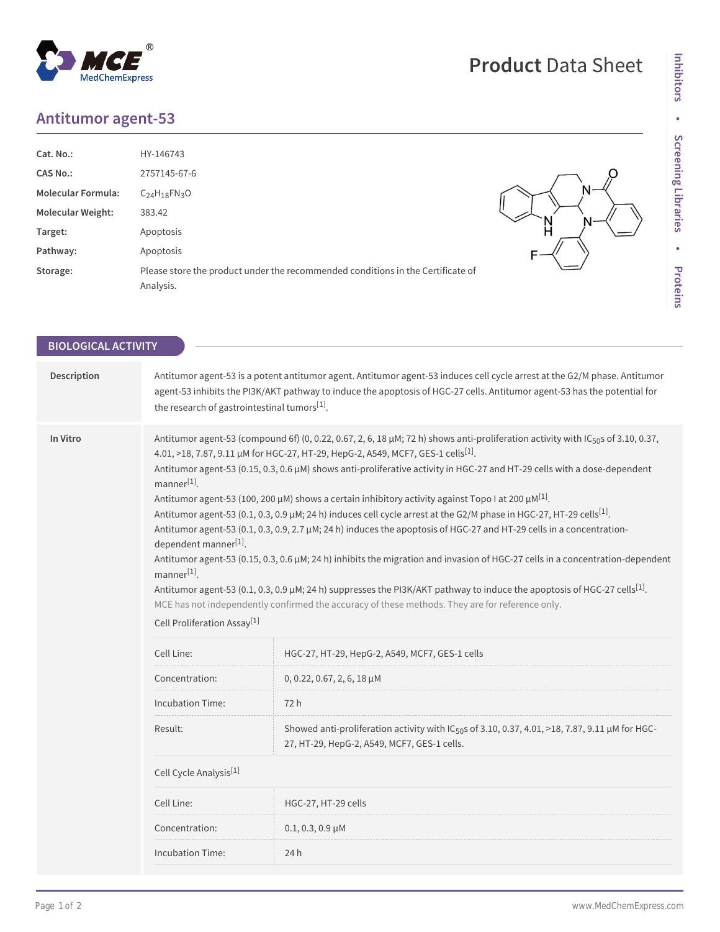## **Antitumor agent-53**

MedChemExpress

 $^{\circledR}$ 

| Cat. No.:                 | HY-146743                                                                                    |  |
|---------------------------|----------------------------------------------------------------------------------------------|--|
| <b>CAS No.:</b>           | 2757145-67-6                                                                                 |  |
| <b>Molecular Formula:</b> | $C_{24}H_{18}FN_{3}O$                                                                        |  |
| <b>Molecular Weight:</b>  | 383.42                                                                                       |  |
| Target:                   | Apoptosis                                                                                    |  |
| Pathway:                  | Apoptosis                                                                                    |  |
| Storage:                  | Please store the product under the recommended conditions in the Certificate of<br>Analysis. |  |

**Product** Data Sheet

| <b>BIOLOGICAL ACTIVITY</b> |                                                                                                                                                                                                                                                                                                                                                                                                                                                                                                                                                                                                                                                                                                                                                                                                                                                                                                                                                                                                                                                                                                                                                                                                                                                  |                                                                                                                                                            |  |  |
|----------------------------|--------------------------------------------------------------------------------------------------------------------------------------------------------------------------------------------------------------------------------------------------------------------------------------------------------------------------------------------------------------------------------------------------------------------------------------------------------------------------------------------------------------------------------------------------------------------------------------------------------------------------------------------------------------------------------------------------------------------------------------------------------------------------------------------------------------------------------------------------------------------------------------------------------------------------------------------------------------------------------------------------------------------------------------------------------------------------------------------------------------------------------------------------------------------------------------------------------------------------------------------------|------------------------------------------------------------------------------------------------------------------------------------------------------------|--|--|
|                            |                                                                                                                                                                                                                                                                                                                                                                                                                                                                                                                                                                                                                                                                                                                                                                                                                                                                                                                                                                                                                                                                                                                                                                                                                                                  |                                                                                                                                                            |  |  |
| Description                | Antitumor agent-53 is a potent antitumor agent. Antitumor agent-53 induces cell cycle arrest at the G2/M phase. Antitumor<br>agent-53 inhibits the PI3K/AKT pathway to induce the apoptosis of HGC-27 cells. Antitumor agent-53 has the potential for<br>the research of gastrointestinal tumors[1].                                                                                                                                                                                                                                                                                                                                                                                                                                                                                                                                                                                                                                                                                                                                                                                                                                                                                                                                             |                                                                                                                                                            |  |  |
| In Vitro                   | Antitumor agent-53 (compound 6f) (0, 0.22, 0.67, 2, 6, 18 µM; 72 h) shows anti-proliferation activity with IC <sub>50</sub> s of 3.10, 0.37,<br>4.01, >18, 7.87, 9.11 µM for HGC-27, HT-29, HepG-2, A549, MCF7, GES-1 cells <sup>[1]</sup> .<br>Antitumor agent-53 (0.15, 0.3, 0.6 µM) shows anti-proliferative activity in HGC-27 and HT-29 cells with a dose-dependent<br>$manner[1]$ .<br>Antitumor agent-53 (100, 200 $\mu$ M) shows a certain inhibitory activity against Topo I at 200 $\mu$ M <sup>[1]</sup> .<br>Antitumor agent-53 (0.1, 0.3, 0.9 µM; 24 h) induces cell cycle arrest at the G2/M phase in HGC-27, HT-29 cells <sup>[1]</sup> .<br>Antitumor agent-53 (0.1, 0.3, 0.9, 2.7 µM; 24 h) induces the apoptosis of HGC-27 and HT-29 cells in a concentration-<br>dependent manner[1].<br>Antitumor agent-53 (0.15, 0.3, 0.6 µM; 24 h) inhibits the migration and invasion of HGC-27 cells in a concentration-dependent<br>$manner[1]$ .<br>Antitumor agent-53 (0.1, 0.3, 0.9 µM; 24 h) suppresses the PI3K/AKT pathway to induce the apoptosis of HGC-27 cells <sup>[1]</sup> .<br>MCE has not independently confirmed the accuracy of these methods. They are for reference only.<br>Cell Proliferation Assay <sup>[1]</sup> |                                                                                                                                                            |  |  |
|                            | Cell Line:                                                                                                                                                                                                                                                                                                                                                                                                                                                                                                                                                                                                                                                                                                                                                                                                                                                                                                                                                                                                                                                                                                                                                                                                                                       | HGC-27, HT-29, HepG-2, A549, MCF7, GES-1 cells                                                                                                             |  |  |
|                            | Concentration:                                                                                                                                                                                                                                                                                                                                                                                                                                                                                                                                                                                                                                                                                                                                                                                                                                                                                                                                                                                                                                                                                                                                                                                                                                   | $0, 0.22, 0.67, 2, 6, 18 \mu M$                                                                                                                            |  |  |
|                            | <b>Incubation Time:</b>                                                                                                                                                                                                                                                                                                                                                                                                                                                                                                                                                                                                                                                                                                                                                                                                                                                                                                                                                                                                                                                                                                                                                                                                                          | 72 h                                                                                                                                                       |  |  |
|                            | Result:                                                                                                                                                                                                                                                                                                                                                                                                                                                                                                                                                                                                                                                                                                                                                                                                                                                                                                                                                                                                                                                                                                                                                                                                                                          | Showed anti-proliferation activity with IC <sub>50</sub> s of 3.10, 0.37, 4.01, >18, 7.87, 9.11 µM for HGC-<br>27, HT-29, HepG-2, A549, MCF7, GES-1 cells. |  |  |
|                            | Cell Cycle Analysis <sup>[1]</sup>                                                                                                                                                                                                                                                                                                                                                                                                                                                                                                                                                                                                                                                                                                                                                                                                                                                                                                                                                                                                                                                                                                                                                                                                               |                                                                                                                                                            |  |  |
|                            | Cell Line:                                                                                                                                                                                                                                                                                                                                                                                                                                                                                                                                                                                                                                                                                                                                                                                                                                                                                                                                                                                                                                                                                                                                                                                                                                       | HGC-27, HT-29 cells                                                                                                                                        |  |  |
|                            | Concentration:                                                                                                                                                                                                                                                                                                                                                                                                                                                                                                                                                                                                                                                                                                                                                                                                                                                                                                                                                                                                                                                                                                                                                                                                                                   | $0.1, 0.3, 0.9 \,\mu M$                                                                                                                                    |  |  |
|                            | <b>Incubation Time:</b>                                                                                                                                                                                                                                                                                                                                                                                                                                                                                                                                                                                                                                                                                                                                                                                                                                                                                                                                                                                                                                                                                                                                                                                                                          | 24h                                                                                                                                                        |  |  |
|                            |                                                                                                                                                                                                                                                                                                                                                                                                                                                                                                                                                                                                                                                                                                                                                                                                                                                                                                                                                                                                                                                                                                                                                                                                                                                  |                                                                                                                                                            |  |  |